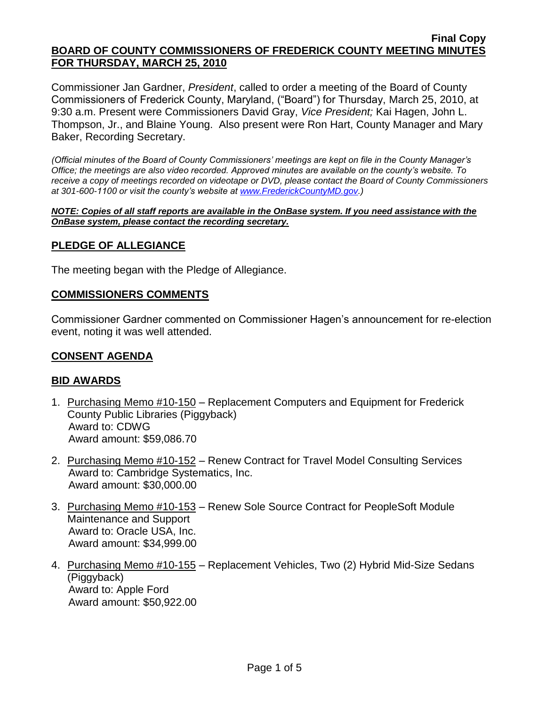Commissioner Jan Gardner, *President*, called to order a meeting of the Board of County Commissioners of Frederick County, Maryland, ("Board") for Thursday, March 25, 2010, at 9:30 a.m. Present were Commissioners David Gray, *Vice President;* Kai Hagen, John L. Thompson, Jr., and Blaine Young. Also present were Ron Hart, County Manager and Mary Baker, Recording Secretary.

*(Official minutes of the Board of County Commissioners' meetings are kept on file in the County Manager's Office; the meetings are also video recorded. Approved minutes are available on the county's website. To receive a copy of meetings recorded on videotape or DVD, please contact the Board of County Commissioners at 301-600-1100 or visit the county's website at [www.FrederickCountyMD.gov.](http://www.frederickcountymd.gov/))*

*NOTE: Copies of all staff reports are available in the OnBase system. If you need assistance with the OnBase system, please contact the recording secretary.*

## **PLEDGE OF ALLEGIANCE**

The meeting began with the Pledge of Allegiance.

## **COMMISSIONERS COMMENTS**

Commissioner Gardner commented on Commissioner Hagen's announcement for re-election event, noting it was well attended.

## **CONSENT AGENDA**

## **BID AWARDS**

- 1. Purchasing Memo #10-150 Replacement Computers and Equipment for Frederick County Public Libraries (Piggyback) Award to: CDWG Award amount: \$59,086.70
- 2. Purchasing Memo #10-152 Renew Contract for Travel Model Consulting Services Award to: Cambridge Systematics, Inc. Award amount: \$30,000.00
- 3. Purchasing Memo #10-153 Renew Sole Source Contract for PeopleSoft Module Maintenance and Support Award to: Oracle USA, Inc. Award amount: \$34,999.00
- 4. Purchasing Memo #10-155 Replacement Vehicles, Two (2) Hybrid Mid-Size Sedans (Piggyback) Award to: Apple Ford Award amount: \$50,922.00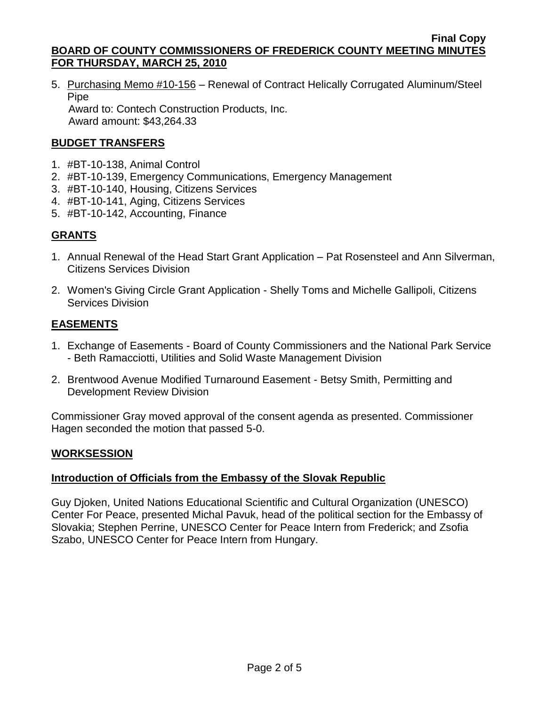5. Purchasing Memo #10-156 – Renewal of Contract Helically Corrugated Aluminum/Steel Pipe Award to: Contech Construction Products, Inc.

Award amount: \$43,264.33

# **BUDGET TRANSFERS**

- 1. #BT-10-138, Animal Control
- 2. #BT-10-139, Emergency Communications, Emergency Management
- 3. #BT-10-140, Housing, Citizens Services
- 4. #BT-10-141, Aging, Citizens Services
- 5. #BT-10-142, Accounting, Finance

# **GRANTS**

- 1. Annual Renewal of the Head Start Grant Application Pat Rosensteel and Ann Silverman, Citizens Services Division
- 2. Women's Giving Circle Grant Application Shelly Toms and Michelle Gallipoli, Citizens Services Division

# **EASEMENTS**

- 1. Exchange of Easements Board of County Commissioners and the National Park Service - Beth Ramacciotti, Utilities and Solid Waste Management Division
- 2. Brentwood Avenue Modified Turnaround Easement Betsy Smith, Permitting and Development Review Division

Commissioner Gray moved approval of the consent agenda as presented. Commissioner Hagen seconded the motion that passed 5-0.

# **WORKSESSION**

# **Introduction of Officials from the Embassy of the Slovak Republic**

Guy Djoken, United Nations Educational [Scientific and Cultural Organization](http://www.unesco.org/) (UNESCO) Center For Peace, presented Michal Pavuk, head of the political section for the Embassy of Slovakia; Stephen Perrine, UNESCO Center for Peace Intern from Frederick; and Zsofia Szabo, UNESCO Center for Peace Intern from Hungary.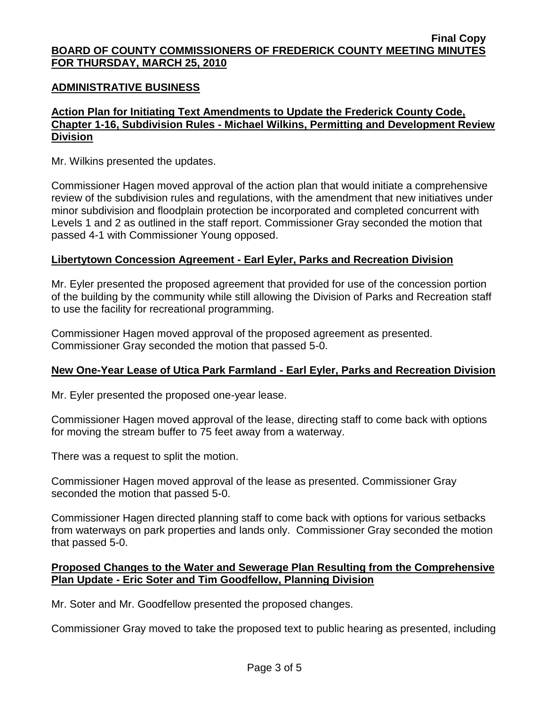## **ADMINISTRATIVE BUSINESS**

# **Action Plan for Initiating Text Amendments to Update the Frederick County Code, Chapter 1-16, Subdivision Rules - Michael Wilkins, Permitting and Development Review Division**

Mr. Wilkins presented the updates.

Commissioner Hagen moved approval of the action plan that would initiate a comprehensive review of the subdivision rules and regulations, with the amendment that new initiatives under minor subdivision and floodplain protection be incorporated and completed concurrent with Levels 1 and 2 as outlined in the staff report. Commissioner Gray seconded the motion that passed 4-1 with Commissioner Young opposed.

## **Libertytown Concession Agreement - Earl Eyler, Parks and Recreation Division**

Mr. Eyler presented the proposed agreement that provided for use of the concession portion of the building by the community while still allowing the Division of Parks and Recreation staff to use the facility for recreational programming.

Commissioner Hagen moved approval of the proposed agreement as presented. Commissioner Gray seconded the motion that passed 5-0.

## **New One-Year Lease of Utica Park Farmland - Earl Eyler, Parks and Recreation Division**

Mr. Eyler presented the proposed one-year lease.

Commissioner Hagen moved approval of the lease, directing staff to come back with options for moving the stream buffer to 75 feet away from a waterway.

There was a request to split the motion.

Commissioner Hagen moved approval of the lease as presented. Commissioner Gray seconded the motion that passed 5-0.

Commissioner Hagen directed planning staff to come back with options for various setbacks from waterways on park properties and lands only. Commissioner Gray seconded the motion that passed 5-0.

## **Proposed Changes to the Water and Sewerage Plan Resulting from the Comprehensive Plan Update - Eric Soter and Tim Goodfellow, Planning Division**

Mr. Soter and Mr. Goodfellow presented the proposed changes.

Commissioner Gray moved to take the proposed text to public hearing as presented, including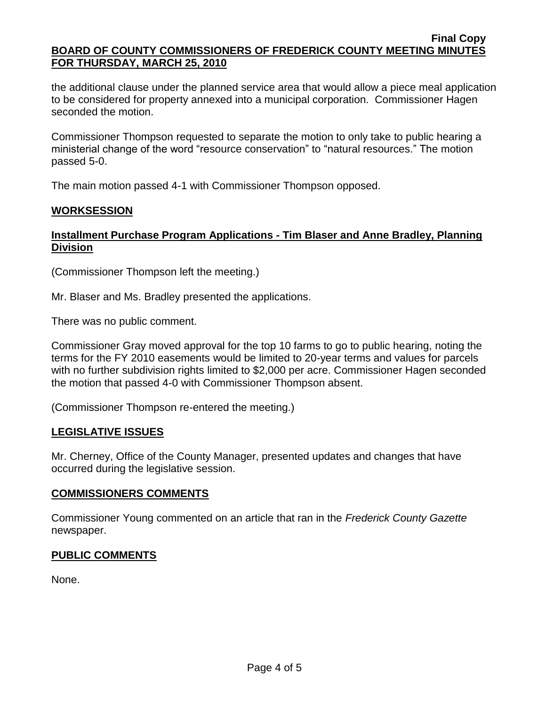the additional clause under the planned service area that would allow a piece meal application to be considered for property annexed into a municipal corporation. Commissioner Hagen seconded the motion.

Commissioner Thompson requested to separate the motion to only take to public hearing a ministerial change of the word "resource conservation" to "natural resources." The motion passed 5-0.

The main motion passed 4-1 with Commissioner Thompson opposed.

# **WORKSESSION**

# **Installment Purchase Program Applications - Tim Blaser and Anne Bradley, Planning Division**

(Commissioner Thompson left the meeting.)

Mr. Blaser and Ms. Bradley presented the applications.

There was no public comment.

Commissioner Gray moved approval for the top 10 farms to go to public hearing, noting the terms for the FY 2010 easements would be limited to 20-year terms and values for parcels with no further subdivision rights limited to \$2,000 per acre. Commissioner Hagen seconded the motion that passed 4-0 with Commissioner Thompson absent.

(Commissioner Thompson re-entered the meeting.)

# **LEGISLATIVE ISSUES**

Mr. Cherney, Office of the County Manager, presented updates and changes that have occurred during the legislative session.

## **COMMISSIONERS COMMENTS**

Commissioner Young commented on an article that ran in the *Frederick County Gazette* newspaper.

# **PUBLIC COMMENTS**

None.